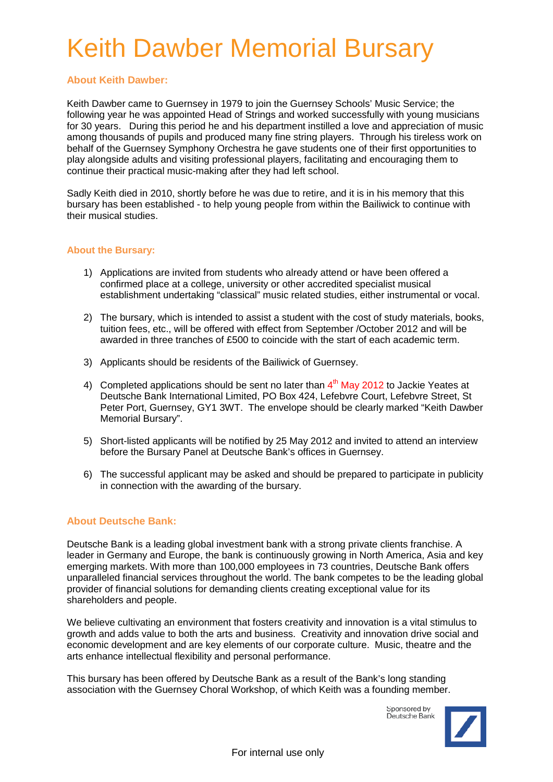### Keith Dawber Memorial Bursary

#### **About Keith Dawber:**

Keith Dawber came to Guernsey in 1979 to join the Guernsey Schools' Music Service; the following year he was appointed Head of Strings and worked successfully with young musicians for 30 years. During this period he and his department instilled a love and appreciation of music among thousands of pupils and produced many fine string players. Through his tireless work on behalf of the Guernsey Symphony Orchestra he gave students one of their first opportunities to play alongside adults and visiting professional players, facilitating and encouraging them to continue their practical music-making after they had left school.

Sadly Keith died in 2010, shortly before he was due to retire, and it is in his memory that this bursary has been established - to help young people from within the Bailiwick to continue with their musical studies.

#### **About the Bursary:**

- 1) Applications are invited from students who already attend or have been offered a confirmed place at a college, university or other accredited specialist musical establishment undertaking "classical" music related studies, either instrumental or vocal.
- 2) The bursary, which is intended to assist a student with the cost of study materials, books, tuition fees, etc., will be offered with effect from September /October 2012 and will be awarded in three tranches of £500 to coincide with the start of each academic term.
- 3) Applicants should be residents of the Bailiwick of Guernsey.
- 4) Completed applications should be sent no later than  $4<sup>th</sup>$  May 2012 to Jackie Yeates at Deutsche Bank International Limited, PO Box 424, Lefebvre Court, Lefebvre Street, St Peter Port, Guernsey, GY1 3WT. The envelope should be clearly marked "Keith Dawber Memorial Bursary".
- 5) Short-listed applicants will be notified by 25 May 2012 and invited to attend an interview before the Bursary Panel at Deutsche Bank's offices in Guernsey.
- 6) The successful applicant may be asked and should be prepared to participate in publicity in connection with the awarding of the bursary.

#### **About Deutsche Bank:**

Deutsche Bank is a leading global investment bank with a strong private clients franchise. A leader in Germany and Europe, the bank is continuously growing in North America, Asia and key emerging markets. With more than 100,000 employees in 73 countries, Deutsche Bank offers unparalleled financial services throughout the world. The bank competes to be the leading global provider of financial solutions for demanding clients creating exceptional value for its shareholders and people.

We believe cultivating an environment that fosters creativity and innovation is a vital stimulus to growth and adds value to both the arts and business. Creativity and innovation drive social and economic development and are key elements of our corporate culture. Music, theatre and the arts enhance intellectual flexibility and personal performance.

This bursary has been offered by Deutsche Bank as a result of the Bank's long standing association with the Guernsey Choral Workshop, of which Keith was a founding member.

> Sponsored by Deutsche Bank

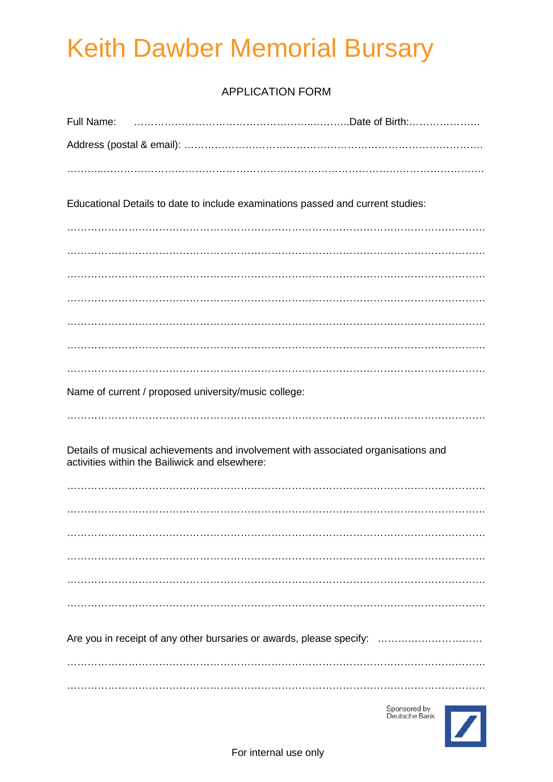# Keith Dawber Memorial Bursary

### APPLICATION FORM

| Educational Details to date to include examinations passed and current studies:                                                     |  |  |
|-------------------------------------------------------------------------------------------------------------------------------------|--|--|
|                                                                                                                                     |  |  |
|                                                                                                                                     |  |  |
|                                                                                                                                     |  |  |
|                                                                                                                                     |  |  |
|                                                                                                                                     |  |  |
| Name of current / proposed university/music college:                                                                                |  |  |
|                                                                                                                                     |  |  |
| Details of musical achievements and involvement with associated organisations and<br>activities within the Bailiwick and elsewhere: |  |  |
|                                                                                                                                     |  |  |
|                                                                                                                                     |  |  |
|                                                                                                                                     |  |  |
|                                                                                                                                     |  |  |
|                                                                                                                                     |  |  |
| Are you in receipt of any other bursaries or awards, please specify:                                                                |  |  |
|                                                                                                                                     |  |  |
|                                                                                                                                     |  |  |

Sponsored by<br>Deutsche Bank